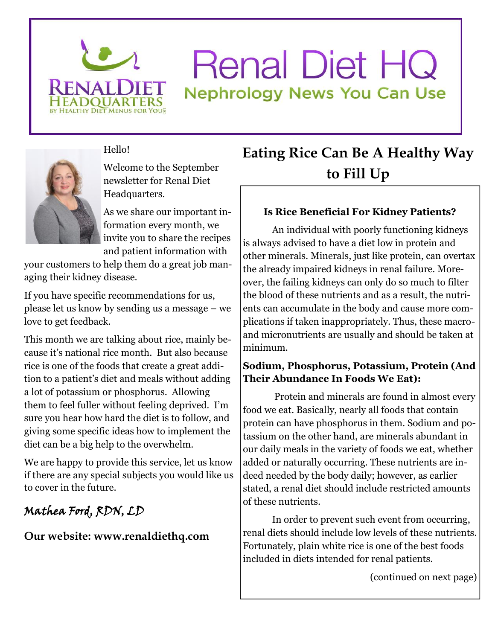

# **Renal Diet HQ Nephrology News You Can Use**



Hello!

Welcome to the September newsletter for Renal Diet Headquarters.

As we share our important information every month, we invite you to share the recipes and patient information with

your customers to help them do a great job managing their kidney disease.

If you have specific recommendations for us, please let us know by sending us a message – we love to get feedback.

This month we are talking about rice, mainly because it's national rice month. But also because rice is one of the foods that create a great addition to a patient's diet and meals without adding a lot of potassium or phosphorus. Allowing them to feel fuller without feeling deprived. I'm sure you hear how hard the diet is to follow, and giving some specific ideas how to implement the diet can be a big help to the overwhelm.

We are happy to provide this service, let us know if there are any special subjects you would like us to cover in the future.

### **Mathea Ford, RDN, LD**

**Our website: www.renaldiethq.com**

## **Eating Rice Can Be A Healthy Way to Fill Up**

#### **Is Rice Beneficial For Kidney Patients?**

An individual with poorly functioning kidneys is always advised to have a diet low in protein and other minerals. Minerals, just like protein, can overtax the already impaired kidneys in renal failure. Moreover, the failing kidneys can only do so much to filter the blood of these nutrients and as a result, the nutrients can accumulate in the body and cause more complications if taken inappropriately. Thus, these macroand micronutrients are usually and should be taken at minimum.

#### **Sodium, Phosphorus, Potassium, Protein (And Their Abundance In Foods We Eat):**

Protein and minerals are found in almost every food we eat. Basically, nearly all foods that contain protein can have phosphorus in them. Sodium and potassium on the other hand, are minerals abundant in our daily meals in the variety of foods we eat, whether added or naturally occurring. These nutrients are indeed needed by the body daily; however, as earlier stated, a renal diet should include restricted amounts of these nutrients.

In order to prevent such event from occurring, renal diets should include low levels of these nutrients. Fortunately, plain white rice is one of the best foods included in diets intended for renal patients.

(continued on next page)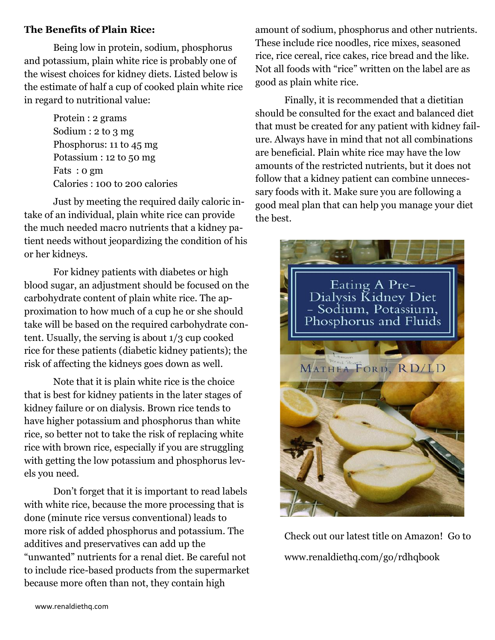#### **The Benefits of Plain Rice:**

Being low in protein, sodium, phosphorus and potassium, plain white rice is probably one of the wisest choices for kidney diets. Listed below is the estimate of half a cup of cooked plain white rice in regard to nutritional value:

> Protein : 2 grams Sodium : 2 to 3 mg Phosphorus: 11 to 45 mg Potassium : 12 to 50 mg Fats : 0 gm Calories : 100 to 200 calories

Just by meeting the required daily caloric intake of an individual, plain white rice can provide the much needed macro nutrients that a kidney patient needs without jeopardizing the condition of his or her kidneys.

For kidney patients with diabetes or high blood sugar, an adjustment should be focused on the carbohydrate content of plain white rice. The approximation to how much of a cup he or she should take will be based on the required carbohydrate content. Usually, the serving is about 1/3 cup cooked rice for these patients (diabetic kidney patients); the risk of affecting the kidneys goes down as well.

Note that it is plain white rice is the choice that is best for kidney patients in the later stages of kidney failure or on dialysis. Brown rice tends to have higher potassium and phosphorus than white rice, so better not to take the risk of replacing white rice with brown rice, especially if you are struggling with getting the low potassium and phosphorus levels you need.

Don't forget that it is important to read labels with white rice, because the more processing that is done (minute rice versus conventional) leads to more risk of added phosphorus and potassium. The additives and preservatives can add up the "unwanted" nutrients for a renal diet. Be careful not to include rice-based products from the supermarket because more often than not, they contain high

amount of sodium, phosphorus and other nutrients. These include rice noodles, rice mixes, seasoned rice, rice cereal, rice cakes, rice bread and the like. Not all foods with "rice" written on the label are as good as plain white rice.

Finally, it is recommended that a dietitian should be consulted for the exact and balanced diet that must be created for any patient with kidney failure. Always have in mind that not all combinations are beneficial. Plain white rice may have the low amounts of the restricted nutrients, but it does not follow that a kidney patient can combine unnecessary foods with it. Make sure you are following a good meal plan that can help you manage your diet the best.



Check out our latest title on Amazon! Go to www.renaldiethq.com/go/rdhqbook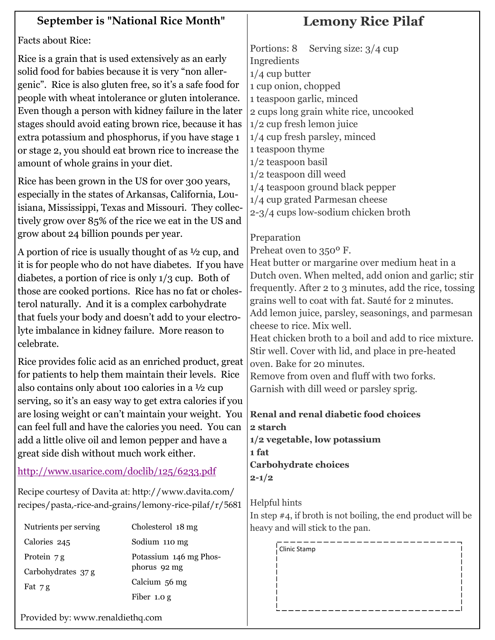| <b>Facts about Rice:</b><br>Serving size: $3/4$ cup<br>Portions: 8<br>Rice is a grain that is used extensively as an early<br>Ingredients<br>solid food for babies because it is very "non aller-<br>$1/4$ cup butter<br>genic". Rice is also gluten free, so it's a safe food for<br>1 cup onion, chopped<br>people with wheat intolerance or gluten intolerance.<br>1 teaspoon garlic, minced<br>Even though a person with kidney failure in the later<br>2 cups long grain white rice, uncooked<br>stages should avoid eating brown rice, because it has<br>$1/2$ cup fresh lemon juice<br>1/4 cup fresh parsley, minced<br>extra potassium and phosphorus, if you have stage 1<br>1 teaspoon thyme<br>or stage 2, you should eat brown rice to increase the<br>1/2 teaspoon basil<br>amount of whole grains in your diet.<br>1/2 teaspoon dill weed<br>Rice has been grown in the US for over 300 years,<br>1/4 teaspoon ground black pepper<br>especially in the states of Arkansas, California, Lou-<br>1/4 cup grated Parmesan cheese<br>isiana, Mississippi, Texas and Missouri. They collec-<br>2-3/4 cups low-sodium chicken broth<br>tively grow over 85% of the rice we eat in the US and<br>grow about 24 billion pounds per year.<br>Preparation<br>Preheat oven to 350° F.<br>A portion of rice is usually thought of as $\frac{1}{2}$ cup, and<br>Heat butter or margarine over medium heat in a<br>it is for people who do not have diabetes. If you have<br>Dutch oven. When melted, add onion and garlic; stir<br>diabetes, a portion of rice is only 1/3 cup. Both of<br>frequently. After 2 to 3 minutes, add the rice, tossing<br>those are cooked portions. Rice has no fat or choles-<br>grains well to coat with fat. Sauté for 2 minutes.<br>terol naturally. And it is a complex carbohydrate<br>Add lemon juice, parsley, seasonings, and parmesan<br>that fuels your body and doesn't add to your electro-<br>cheese to rice. Mix well.<br>lyte imbalance in kidney failure. More reason to<br>Heat chicken broth to a boil and add to rice mixture.<br>celebrate.<br>Stir well. Cover with lid, and place in pre-heated<br>Rice provides folic acid as an enriched product, great<br>oven. Bake for 20 minutes.<br>for patients to help them maintain their levels. Rice<br>Remove from oven and fluff with two forks.<br>also contains only about 100 calories in a 1/2 cup<br>Garnish with dill weed or parsley sprig.<br>serving, so it's an easy way to get extra calories if you<br>are losing weight or can't maintain your weight. You<br><b>Renal and renal diabetic food choices</b><br>can feel full and have the calories you need. You can<br>2 starch<br>add a little olive oil and lemon pepper and have a<br>1/2 vegetable, low potassium<br>great side dish without much work either.<br>1 fat<br><b>Carbohydrate choices</b><br>http://www.usarice.com/doclib/125/6233.pdf<br>$2 - 1/2$<br>Recipe courtesy of Davita at: http://www.davita.com/<br>Helpful hints<br>recipes/pasta,-rice-and-grains/lemony-rice-pilaf/r/5681<br>In step $\#4$ , if broth is not boiling, the end product will be<br>Nutrients per serving<br>Cholesterol 18 mg<br>heavy and will stick to the pan.<br>Calories 245<br>Sodium 110 mg<br>Clinic Stamp | <b>September is "National Rice Month"</b> |                        | <b>Lemony Rice Pilaf</b> |  |  |  |
|-----------------------------------------------------------------------------------------------------------------------------------------------------------------------------------------------------------------------------------------------------------------------------------------------------------------------------------------------------------------------------------------------------------------------------------------------------------------------------------------------------------------------------------------------------------------------------------------------------------------------------------------------------------------------------------------------------------------------------------------------------------------------------------------------------------------------------------------------------------------------------------------------------------------------------------------------------------------------------------------------------------------------------------------------------------------------------------------------------------------------------------------------------------------------------------------------------------------------------------------------------------------------------------------------------------------------------------------------------------------------------------------------------------------------------------------------------------------------------------------------------------------------------------------------------------------------------------------------------------------------------------------------------------------------------------------------------------------------------------------------------------------------------------------------------------------------------------------------------------------------------------------------------------------------------------------------------------------------------------------------------------------------------------------------------------------------------------------------------------------------------------------------------------------------------------------------------------------------------------------------------------------------------------------------------------------------------------------------------------------------------------------------------------------------------------------------------------------------------------------------------------------------------------------------------------------------------------------------------------------------------------------------------------------------------------------------------------------------------------------------------------------------------------------------------------------------------------------------------------------------------------------------------------------------------------------------------------------------------------------------------------------------------------------------------------------------------------------------------------------------------------------------------------------------------------------------------------------------------------------------------------------------------------|-------------------------------------------|------------------------|--------------------------|--|--|--|
|                                                                                                                                                                                                                                                                                                                                                                                                                                                                                                                                                                                                                                                                                                                                                                                                                                                                                                                                                                                                                                                                                                                                                                                                                                                                                                                                                                                                                                                                                                                                                                                                                                                                                                                                                                                                                                                                                                                                                                                                                                                                                                                                                                                                                                                                                                                                                                                                                                                                                                                                                                                                                                                                                                                                                                                                                                                                                                                                                                                                                                                                                                                                                                                                                                                                                   |                                           |                        |                          |  |  |  |
|                                                                                                                                                                                                                                                                                                                                                                                                                                                                                                                                                                                                                                                                                                                                                                                                                                                                                                                                                                                                                                                                                                                                                                                                                                                                                                                                                                                                                                                                                                                                                                                                                                                                                                                                                                                                                                                                                                                                                                                                                                                                                                                                                                                                                                                                                                                                                                                                                                                                                                                                                                                                                                                                                                                                                                                                                                                                                                                                                                                                                                                                                                                                                                                                                                                                                   |                                           |                        |                          |  |  |  |
|                                                                                                                                                                                                                                                                                                                                                                                                                                                                                                                                                                                                                                                                                                                                                                                                                                                                                                                                                                                                                                                                                                                                                                                                                                                                                                                                                                                                                                                                                                                                                                                                                                                                                                                                                                                                                                                                                                                                                                                                                                                                                                                                                                                                                                                                                                                                                                                                                                                                                                                                                                                                                                                                                                                                                                                                                                                                                                                                                                                                                                                                                                                                                                                                                                                                                   |                                           |                        |                          |  |  |  |
|                                                                                                                                                                                                                                                                                                                                                                                                                                                                                                                                                                                                                                                                                                                                                                                                                                                                                                                                                                                                                                                                                                                                                                                                                                                                                                                                                                                                                                                                                                                                                                                                                                                                                                                                                                                                                                                                                                                                                                                                                                                                                                                                                                                                                                                                                                                                                                                                                                                                                                                                                                                                                                                                                                                                                                                                                                                                                                                                                                                                                                                                                                                                                                                                                                                                                   |                                           |                        |                          |  |  |  |
|                                                                                                                                                                                                                                                                                                                                                                                                                                                                                                                                                                                                                                                                                                                                                                                                                                                                                                                                                                                                                                                                                                                                                                                                                                                                                                                                                                                                                                                                                                                                                                                                                                                                                                                                                                                                                                                                                                                                                                                                                                                                                                                                                                                                                                                                                                                                                                                                                                                                                                                                                                                                                                                                                                                                                                                                                                                                                                                                                                                                                                                                                                                                                                                                                                                                                   |                                           |                        |                          |  |  |  |
|                                                                                                                                                                                                                                                                                                                                                                                                                                                                                                                                                                                                                                                                                                                                                                                                                                                                                                                                                                                                                                                                                                                                                                                                                                                                                                                                                                                                                                                                                                                                                                                                                                                                                                                                                                                                                                                                                                                                                                                                                                                                                                                                                                                                                                                                                                                                                                                                                                                                                                                                                                                                                                                                                                                                                                                                                                                                                                                                                                                                                                                                                                                                                                                                                                                                                   |                                           |                        |                          |  |  |  |
|                                                                                                                                                                                                                                                                                                                                                                                                                                                                                                                                                                                                                                                                                                                                                                                                                                                                                                                                                                                                                                                                                                                                                                                                                                                                                                                                                                                                                                                                                                                                                                                                                                                                                                                                                                                                                                                                                                                                                                                                                                                                                                                                                                                                                                                                                                                                                                                                                                                                                                                                                                                                                                                                                                                                                                                                                                                                                                                                                                                                                                                                                                                                                                                                                                                                                   |                                           |                        |                          |  |  |  |
|                                                                                                                                                                                                                                                                                                                                                                                                                                                                                                                                                                                                                                                                                                                                                                                                                                                                                                                                                                                                                                                                                                                                                                                                                                                                                                                                                                                                                                                                                                                                                                                                                                                                                                                                                                                                                                                                                                                                                                                                                                                                                                                                                                                                                                                                                                                                                                                                                                                                                                                                                                                                                                                                                                                                                                                                                                                                                                                                                                                                                                                                                                                                                                                                                                                                                   |                                           |                        |                          |  |  |  |
|                                                                                                                                                                                                                                                                                                                                                                                                                                                                                                                                                                                                                                                                                                                                                                                                                                                                                                                                                                                                                                                                                                                                                                                                                                                                                                                                                                                                                                                                                                                                                                                                                                                                                                                                                                                                                                                                                                                                                                                                                                                                                                                                                                                                                                                                                                                                                                                                                                                                                                                                                                                                                                                                                                                                                                                                                                                                                                                                                                                                                                                                                                                                                                                                                                                                                   |                                           |                        |                          |  |  |  |
|                                                                                                                                                                                                                                                                                                                                                                                                                                                                                                                                                                                                                                                                                                                                                                                                                                                                                                                                                                                                                                                                                                                                                                                                                                                                                                                                                                                                                                                                                                                                                                                                                                                                                                                                                                                                                                                                                                                                                                                                                                                                                                                                                                                                                                                                                                                                                                                                                                                                                                                                                                                                                                                                                                                                                                                                                                                                                                                                                                                                                                                                                                                                                                                                                                                                                   |                                           |                        |                          |  |  |  |
|                                                                                                                                                                                                                                                                                                                                                                                                                                                                                                                                                                                                                                                                                                                                                                                                                                                                                                                                                                                                                                                                                                                                                                                                                                                                                                                                                                                                                                                                                                                                                                                                                                                                                                                                                                                                                                                                                                                                                                                                                                                                                                                                                                                                                                                                                                                                                                                                                                                                                                                                                                                                                                                                                                                                                                                                                                                                                                                                                                                                                                                                                                                                                                                                                                                                                   |                                           |                        |                          |  |  |  |
|                                                                                                                                                                                                                                                                                                                                                                                                                                                                                                                                                                                                                                                                                                                                                                                                                                                                                                                                                                                                                                                                                                                                                                                                                                                                                                                                                                                                                                                                                                                                                                                                                                                                                                                                                                                                                                                                                                                                                                                                                                                                                                                                                                                                                                                                                                                                                                                                                                                                                                                                                                                                                                                                                                                                                                                                                                                                                                                                                                                                                                                                                                                                                                                                                                                                                   |                                           |                        |                          |  |  |  |
|                                                                                                                                                                                                                                                                                                                                                                                                                                                                                                                                                                                                                                                                                                                                                                                                                                                                                                                                                                                                                                                                                                                                                                                                                                                                                                                                                                                                                                                                                                                                                                                                                                                                                                                                                                                                                                                                                                                                                                                                                                                                                                                                                                                                                                                                                                                                                                                                                                                                                                                                                                                                                                                                                                                                                                                                                                                                                                                                                                                                                                                                                                                                                                                                                                                                                   |                                           |                        |                          |  |  |  |
|                                                                                                                                                                                                                                                                                                                                                                                                                                                                                                                                                                                                                                                                                                                                                                                                                                                                                                                                                                                                                                                                                                                                                                                                                                                                                                                                                                                                                                                                                                                                                                                                                                                                                                                                                                                                                                                                                                                                                                                                                                                                                                                                                                                                                                                                                                                                                                                                                                                                                                                                                                                                                                                                                                                                                                                                                                                                                                                                                                                                                                                                                                                                                                                                                                                                                   |                                           |                        |                          |  |  |  |
|                                                                                                                                                                                                                                                                                                                                                                                                                                                                                                                                                                                                                                                                                                                                                                                                                                                                                                                                                                                                                                                                                                                                                                                                                                                                                                                                                                                                                                                                                                                                                                                                                                                                                                                                                                                                                                                                                                                                                                                                                                                                                                                                                                                                                                                                                                                                                                                                                                                                                                                                                                                                                                                                                                                                                                                                                                                                                                                                                                                                                                                                                                                                                                                                                                                                                   |                                           |                        |                          |  |  |  |
|                                                                                                                                                                                                                                                                                                                                                                                                                                                                                                                                                                                                                                                                                                                                                                                                                                                                                                                                                                                                                                                                                                                                                                                                                                                                                                                                                                                                                                                                                                                                                                                                                                                                                                                                                                                                                                                                                                                                                                                                                                                                                                                                                                                                                                                                                                                                                                                                                                                                                                                                                                                                                                                                                                                                                                                                                                                                                                                                                                                                                                                                                                                                                                                                                                                                                   |                                           |                        |                          |  |  |  |
|                                                                                                                                                                                                                                                                                                                                                                                                                                                                                                                                                                                                                                                                                                                                                                                                                                                                                                                                                                                                                                                                                                                                                                                                                                                                                                                                                                                                                                                                                                                                                                                                                                                                                                                                                                                                                                                                                                                                                                                                                                                                                                                                                                                                                                                                                                                                                                                                                                                                                                                                                                                                                                                                                                                                                                                                                                                                                                                                                                                                                                                                                                                                                                                                                                                                                   |                                           |                        |                          |  |  |  |
|                                                                                                                                                                                                                                                                                                                                                                                                                                                                                                                                                                                                                                                                                                                                                                                                                                                                                                                                                                                                                                                                                                                                                                                                                                                                                                                                                                                                                                                                                                                                                                                                                                                                                                                                                                                                                                                                                                                                                                                                                                                                                                                                                                                                                                                                                                                                                                                                                                                                                                                                                                                                                                                                                                                                                                                                                                                                                                                                                                                                                                                                                                                                                                                                                                                                                   |                                           |                        |                          |  |  |  |
|                                                                                                                                                                                                                                                                                                                                                                                                                                                                                                                                                                                                                                                                                                                                                                                                                                                                                                                                                                                                                                                                                                                                                                                                                                                                                                                                                                                                                                                                                                                                                                                                                                                                                                                                                                                                                                                                                                                                                                                                                                                                                                                                                                                                                                                                                                                                                                                                                                                                                                                                                                                                                                                                                                                                                                                                                                                                                                                                                                                                                                                                                                                                                                                                                                                                                   |                                           |                        |                          |  |  |  |
|                                                                                                                                                                                                                                                                                                                                                                                                                                                                                                                                                                                                                                                                                                                                                                                                                                                                                                                                                                                                                                                                                                                                                                                                                                                                                                                                                                                                                                                                                                                                                                                                                                                                                                                                                                                                                                                                                                                                                                                                                                                                                                                                                                                                                                                                                                                                                                                                                                                                                                                                                                                                                                                                                                                                                                                                                                                                                                                                                                                                                                                                                                                                                                                                                                                                                   |                                           |                        |                          |  |  |  |
|                                                                                                                                                                                                                                                                                                                                                                                                                                                                                                                                                                                                                                                                                                                                                                                                                                                                                                                                                                                                                                                                                                                                                                                                                                                                                                                                                                                                                                                                                                                                                                                                                                                                                                                                                                                                                                                                                                                                                                                                                                                                                                                                                                                                                                                                                                                                                                                                                                                                                                                                                                                                                                                                                                                                                                                                                                                                                                                                                                                                                                                                                                                                                                                                                                                                                   |                                           |                        |                          |  |  |  |
|                                                                                                                                                                                                                                                                                                                                                                                                                                                                                                                                                                                                                                                                                                                                                                                                                                                                                                                                                                                                                                                                                                                                                                                                                                                                                                                                                                                                                                                                                                                                                                                                                                                                                                                                                                                                                                                                                                                                                                                                                                                                                                                                                                                                                                                                                                                                                                                                                                                                                                                                                                                                                                                                                                                                                                                                                                                                                                                                                                                                                                                                                                                                                                                                                                                                                   |                                           |                        |                          |  |  |  |
|                                                                                                                                                                                                                                                                                                                                                                                                                                                                                                                                                                                                                                                                                                                                                                                                                                                                                                                                                                                                                                                                                                                                                                                                                                                                                                                                                                                                                                                                                                                                                                                                                                                                                                                                                                                                                                                                                                                                                                                                                                                                                                                                                                                                                                                                                                                                                                                                                                                                                                                                                                                                                                                                                                                                                                                                                                                                                                                                                                                                                                                                                                                                                                                                                                                                                   |                                           |                        |                          |  |  |  |
|                                                                                                                                                                                                                                                                                                                                                                                                                                                                                                                                                                                                                                                                                                                                                                                                                                                                                                                                                                                                                                                                                                                                                                                                                                                                                                                                                                                                                                                                                                                                                                                                                                                                                                                                                                                                                                                                                                                                                                                                                                                                                                                                                                                                                                                                                                                                                                                                                                                                                                                                                                                                                                                                                                                                                                                                                                                                                                                                                                                                                                                                                                                                                                                                                                                                                   |                                           |                        |                          |  |  |  |
|                                                                                                                                                                                                                                                                                                                                                                                                                                                                                                                                                                                                                                                                                                                                                                                                                                                                                                                                                                                                                                                                                                                                                                                                                                                                                                                                                                                                                                                                                                                                                                                                                                                                                                                                                                                                                                                                                                                                                                                                                                                                                                                                                                                                                                                                                                                                                                                                                                                                                                                                                                                                                                                                                                                                                                                                                                                                                                                                                                                                                                                                                                                                                                                                                                                                                   |                                           |                        |                          |  |  |  |
|                                                                                                                                                                                                                                                                                                                                                                                                                                                                                                                                                                                                                                                                                                                                                                                                                                                                                                                                                                                                                                                                                                                                                                                                                                                                                                                                                                                                                                                                                                                                                                                                                                                                                                                                                                                                                                                                                                                                                                                                                                                                                                                                                                                                                                                                                                                                                                                                                                                                                                                                                                                                                                                                                                                                                                                                                                                                                                                                                                                                                                                                                                                                                                                                                                                                                   |                                           |                        |                          |  |  |  |
|                                                                                                                                                                                                                                                                                                                                                                                                                                                                                                                                                                                                                                                                                                                                                                                                                                                                                                                                                                                                                                                                                                                                                                                                                                                                                                                                                                                                                                                                                                                                                                                                                                                                                                                                                                                                                                                                                                                                                                                                                                                                                                                                                                                                                                                                                                                                                                                                                                                                                                                                                                                                                                                                                                                                                                                                                                                                                                                                                                                                                                                                                                                                                                                                                                                                                   |                                           |                        |                          |  |  |  |
|                                                                                                                                                                                                                                                                                                                                                                                                                                                                                                                                                                                                                                                                                                                                                                                                                                                                                                                                                                                                                                                                                                                                                                                                                                                                                                                                                                                                                                                                                                                                                                                                                                                                                                                                                                                                                                                                                                                                                                                                                                                                                                                                                                                                                                                                                                                                                                                                                                                                                                                                                                                                                                                                                                                                                                                                                                                                                                                                                                                                                                                                                                                                                                                                                                                                                   |                                           |                        |                          |  |  |  |
|                                                                                                                                                                                                                                                                                                                                                                                                                                                                                                                                                                                                                                                                                                                                                                                                                                                                                                                                                                                                                                                                                                                                                                                                                                                                                                                                                                                                                                                                                                                                                                                                                                                                                                                                                                                                                                                                                                                                                                                                                                                                                                                                                                                                                                                                                                                                                                                                                                                                                                                                                                                                                                                                                                                                                                                                                                                                                                                                                                                                                                                                                                                                                                                                                                                                                   |                                           |                        |                          |  |  |  |
|                                                                                                                                                                                                                                                                                                                                                                                                                                                                                                                                                                                                                                                                                                                                                                                                                                                                                                                                                                                                                                                                                                                                                                                                                                                                                                                                                                                                                                                                                                                                                                                                                                                                                                                                                                                                                                                                                                                                                                                                                                                                                                                                                                                                                                                                                                                                                                                                                                                                                                                                                                                                                                                                                                                                                                                                                                                                                                                                                                                                                                                                                                                                                                                                                                                                                   |                                           |                        |                          |  |  |  |
|                                                                                                                                                                                                                                                                                                                                                                                                                                                                                                                                                                                                                                                                                                                                                                                                                                                                                                                                                                                                                                                                                                                                                                                                                                                                                                                                                                                                                                                                                                                                                                                                                                                                                                                                                                                                                                                                                                                                                                                                                                                                                                                                                                                                                                                                                                                                                                                                                                                                                                                                                                                                                                                                                                                                                                                                                                                                                                                                                                                                                                                                                                                                                                                                                                                                                   |                                           |                        |                          |  |  |  |
|                                                                                                                                                                                                                                                                                                                                                                                                                                                                                                                                                                                                                                                                                                                                                                                                                                                                                                                                                                                                                                                                                                                                                                                                                                                                                                                                                                                                                                                                                                                                                                                                                                                                                                                                                                                                                                                                                                                                                                                                                                                                                                                                                                                                                                                                                                                                                                                                                                                                                                                                                                                                                                                                                                                                                                                                                                                                                                                                                                                                                                                                                                                                                                                                                                                                                   |                                           |                        |                          |  |  |  |
|                                                                                                                                                                                                                                                                                                                                                                                                                                                                                                                                                                                                                                                                                                                                                                                                                                                                                                                                                                                                                                                                                                                                                                                                                                                                                                                                                                                                                                                                                                                                                                                                                                                                                                                                                                                                                                                                                                                                                                                                                                                                                                                                                                                                                                                                                                                                                                                                                                                                                                                                                                                                                                                                                                                                                                                                                                                                                                                                                                                                                                                                                                                                                                                                                                                                                   |                                           |                        |                          |  |  |  |
|                                                                                                                                                                                                                                                                                                                                                                                                                                                                                                                                                                                                                                                                                                                                                                                                                                                                                                                                                                                                                                                                                                                                                                                                                                                                                                                                                                                                                                                                                                                                                                                                                                                                                                                                                                                                                                                                                                                                                                                                                                                                                                                                                                                                                                                                                                                                                                                                                                                                                                                                                                                                                                                                                                                                                                                                                                                                                                                                                                                                                                                                                                                                                                                                                                                                                   |                                           |                        |                          |  |  |  |
|                                                                                                                                                                                                                                                                                                                                                                                                                                                                                                                                                                                                                                                                                                                                                                                                                                                                                                                                                                                                                                                                                                                                                                                                                                                                                                                                                                                                                                                                                                                                                                                                                                                                                                                                                                                                                                                                                                                                                                                                                                                                                                                                                                                                                                                                                                                                                                                                                                                                                                                                                                                                                                                                                                                                                                                                                                                                                                                                                                                                                                                                                                                                                                                                                                                                                   |                                           |                        |                          |  |  |  |
|                                                                                                                                                                                                                                                                                                                                                                                                                                                                                                                                                                                                                                                                                                                                                                                                                                                                                                                                                                                                                                                                                                                                                                                                                                                                                                                                                                                                                                                                                                                                                                                                                                                                                                                                                                                                                                                                                                                                                                                                                                                                                                                                                                                                                                                                                                                                                                                                                                                                                                                                                                                                                                                                                                                                                                                                                                                                                                                                                                                                                                                                                                                                                                                                                                                                                   |                                           |                        |                          |  |  |  |
|                                                                                                                                                                                                                                                                                                                                                                                                                                                                                                                                                                                                                                                                                                                                                                                                                                                                                                                                                                                                                                                                                                                                                                                                                                                                                                                                                                                                                                                                                                                                                                                                                                                                                                                                                                                                                                                                                                                                                                                                                                                                                                                                                                                                                                                                                                                                                                                                                                                                                                                                                                                                                                                                                                                                                                                                                                                                                                                                                                                                                                                                                                                                                                                                                                                                                   |                                           |                        |                          |  |  |  |
|                                                                                                                                                                                                                                                                                                                                                                                                                                                                                                                                                                                                                                                                                                                                                                                                                                                                                                                                                                                                                                                                                                                                                                                                                                                                                                                                                                                                                                                                                                                                                                                                                                                                                                                                                                                                                                                                                                                                                                                                                                                                                                                                                                                                                                                                                                                                                                                                                                                                                                                                                                                                                                                                                                                                                                                                                                                                                                                                                                                                                                                                                                                                                                                                                                                                                   |                                           |                        |                          |  |  |  |
|                                                                                                                                                                                                                                                                                                                                                                                                                                                                                                                                                                                                                                                                                                                                                                                                                                                                                                                                                                                                                                                                                                                                                                                                                                                                                                                                                                                                                                                                                                                                                                                                                                                                                                                                                                                                                                                                                                                                                                                                                                                                                                                                                                                                                                                                                                                                                                                                                                                                                                                                                                                                                                                                                                                                                                                                                                                                                                                                                                                                                                                                                                                                                                                                                                                                                   | Protein 7 g                               | Potassium 146 mg Phos- |                          |  |  |  |
| phorus 92 mg<br>Carbohydrates 37 g                                                                                                                                                                                                                                                                                                                                                                                                                                                                                                                                                                                                                                                                                                                                                                                                                                                                                                                                                                                                                                                                                                                                                                                                                                                                                                                                                                                                                                                                                                                                                                                                                                                                                                                                                                                                                                                                                                                                                                                                                                                                                                                                                                                                                                                                                                                                                                                                                                                                                                                                                                                                                                                                                                                                                                                                                                                                                                                                                                                                                                                                                                                                                                                                                                                |                                           |                        |                          |  |  |  |
| Calcium 56 mg<br>Fat 7g                                                                                                                                                                                                                                                                                                                                                                                                                                                                                                                                                                                                                                                                                                                                                                                                                                                                                                                                                                                                                                                                                                                                                                                                                                                                                                                                                                                                                                                                                                                                                                                                                                                                                                                                                                                                                                                                                                                                                                                                                                                                                                                                                                                                                                                                                                                                                                                                                                                                                                                                                                                                                                                                                                                                                                                                                                                                                                                                                                                                                                                                                                                                                                                                                                                           |                                           |                        |                          |  |  |  |

 $\overline{\phantom{a}}$  $\mathbf{I}$ Π

Provided by: www.renaldiethq.com

Fiber 1.0 g